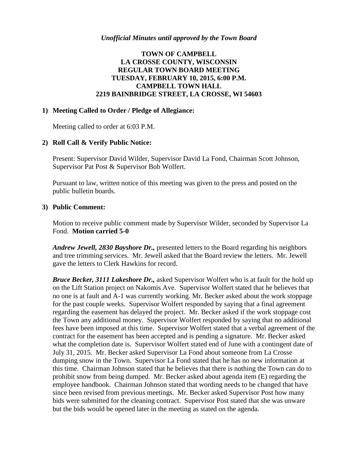### *Unofficial Minutes until approved by the Town Board*

# **TOWN OF CAMPBELL LA CROSSE COUNTY, WISCONSIN REGULAR TOWN BOARD MEETING TUESDAY, FEBRUARY 10, 2015, 6:00 P.M. CAMPBELL TOWN HALL 2219 BAINBRIDGE STREET, LA CROSSE, WI 54603**

#### **1) Meeting Called to Order / Pledge of Allegiance:**

Meeting called to order at 6:03 P.M.

#### **2) Roll Call & Verify Public Notice:**

Present: Supervisor David Wilder, Supervisor David La Fond, Chairman Scott Johnson, Supervisor Pat Post & Supervisor Bob Wolfert.

Pursuant to law, written notice of this meeting was given to the press and posted on the public bulletin boards.

#### **3) Public Comment:**

Motion to receive public comment made by Supervisor Wilder, seconded by Supervisor La Fond. **Motion carried 5-0**

*Andrew Jewell, 2830 Bayshore Dr.,* presented letters to the Board regarding his neighbors and tree trimming services. Mr. Jewell asked that the Board review the letters. Mr. Jewell gave the letters to Clerk Hawkins for record.

*Bruce Becker, 3111 Lakeshore Dr.,* asked Supervisor Wolfert who is at fault for the hold up on the Lift Station project on Nakomis Ave. Supervisor Wolfert stated that he believes that no one is at fault and A-1 was currently working. Mr. Becker asked about the work stoppage for the past couple weeks. Supervisor Wolfert responded by saying that a final agreement regarding the easement has delayed the project. Mr. Becker asked if the work stoppage cost the Town any additional money. Supervisor Wolfert responded by saying that no additional fees have been imposed at this time. Supervisor Wolfert stated that a verbal agreement of the contract for the easement has been accepted and is pending a signature. Mr. Becker asked what the completion date is. Supervisor Wolfert stated end of June with a contingent date of July 31, 2015. Mr. Becker asked Supervisor La Fond about someone from La Crosse dumping snow in the Town. Supervisor La Fond stated that he has no new information at this time. Chairman Johnson stated that he believes that there is nothing the Town can do to prohibit snow from being dumped. Mr. Becker asked about agenda item (E) regarding the employee handbook. Chairman Johnson stated that wording needs to be changed that have since been revised from previous meetings. Mr. Becker asked Supervisor Post how many bids were submitted for the cleaning contract. Supervisor Post stated that she was unware but the bids would be opened later in the meeting as stated on the agenda.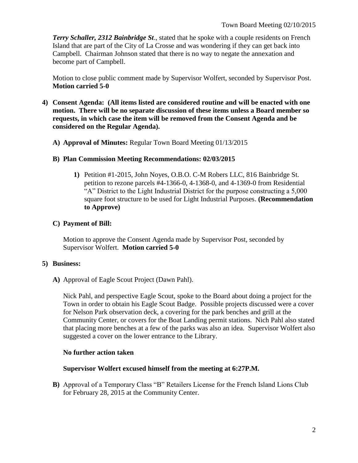*Terry Schaller, 2312 Bainbridge St*., stated that he spoke with a couple residents on French Island that are part of the City of La Crosse and was wondering if they can get back into Campbell. Chairman Johnson stated that there is no way to negate the annexation and become part of Campbell.

Motion to close public comment made by Supervisor Wolfert, seconded by Supervisor Post. **Motion carried 5-0**

- **4) Consent Agenda: (All items listed are considered routine and will be enacted with one motion. There will be no separate discussion of these items unless a Board member so requests, in which case the item will be removed from the Consent Agenda and be considered on the Regular Agenda).**
	- **A) Approval of Minutes:** Regular Town Board Meeting 01/13/2015

## **B) Plan Commission Meeting Recommendations: 02/03/2015**

**1)** Petition #1-2015, John Noyes, O.B.O. C-M Robers LLC, 816 Bainbridge St. petition to rezone parcels #4-1366-0, 4-1368-0, and 4-1369-0 from Residential "A" District to the Light Industrial District for the purpose constructing a 5,000 square foot structure to be used for Light Industrial Purposes. **(Recommendation to Approve)**

# **C) Payment of Bill:**

Motion to approve the Consent Agenda made by Supervisor Post, seconded by Supervisor Wolfert. **Motion carried 5-0**

# **5) Business:**

**A)** Approval of Eagle Scout Project (Dawn Pahl).

Nick Pahl, and perspective Eagle Scout, spoke to the Board about doing a project for the Town in order to obtain his Eagle Scout Badge. Possible projects discussed were a cover for Nelson Park observation deck, a covering for the park benches and grill at the Community Center, or covers for the Boat Landing permit stations. Nich Pahl also stated that placing more benches at a few of the parks was also an idea. Supervisor Wolfert also suggested a cover on the lower entrance to the Library.

# **No further action taken**

#### **Supervisor Wolfert excused himself from the meeting at 6:27P.M.**

**B)** Approval of a Temporary Class "B" Retailers License for the French Island Lions Club for February 28, 2015 at the Community Center.